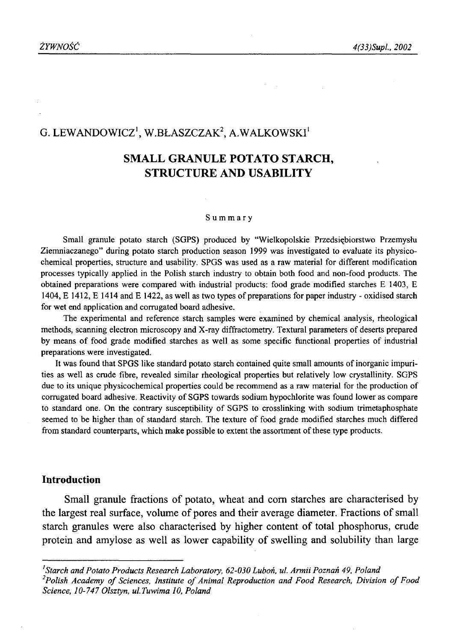# G. LEWANDOWICZ<sup>1</sup>, W.BŁASZCZAK<sup>2</sup>, A.WALKOWSKI<sup>1</sup>

# **SMALL GRANULE POTATO STARCH, STRUCTURE AND USABILITY**

#### **Summary**

Small granule potato starch (SGPS) produced by "Wielkopolskie Przedsiębiorstwo Przemysłu Ziemniaczanego" during potato starch production season 1999 was investigated to evaluate its physicochemical properties, structure and usability. SPGS was used as a raw material for different modification processes typically applied in the Polish starch industry to obtain both food and non-food products. The obtained preparations were compared with industrial products: food grade modified starches E 1403, E 1404, E 1412, E 1414 and E 1422, as well as two types of preparations for paper industry - oxidised starch for wet end application and corrugated board adhesive.

The experimental and reference starch samples were examined by chemical analysis, rheological methods, scanning electron microscopy and X-ray diffractometry. Textural parameters of deserts prepared by means of food grade modified starches as well as some specific functional properties of industrial preparations were investigated.

It was found that SPGS like standard potato starch contained quite small amounts of inorganic impurities as well as crude fibre, revealed similar rheological properties but relatively low crystallinity. SGPS due to its unique physicochemical properties could be recommend as a raw material for the production of corrugated board adhesive. Reactivity of SGPS towards sodium hypochlorite was found lower as compare to standard one. On the contrary susceptibility of SGPS to crosslinking with sodium trimetaphosphate seemed to be higher than of standard starch. The texture of food grade modified starches much differed from standard counterparts, which make possible to extent the assortment of these type products.

#### **Introduction**

Small granule fractions of potato, wheat and com starches are characterised by the largest real surface, volume of pores and their average diameter. Fractions of small starch granules were also characterised by higher content of total phosphorus, crude protein and amylose as well as lower capability of swelling and solubility than large

*Starch and Potato Products Research Laboratory, 62-030 Luboń, ul. Armii Poznań 49, Poland*

<sup>&</sup>lt;sup>2</sup>Polish Academy of Sciences, Institute of Animal Reproduction and Food Research, Division of Food *Science, 10-747 Olsztyn, ul.Tuwima 10, Poland*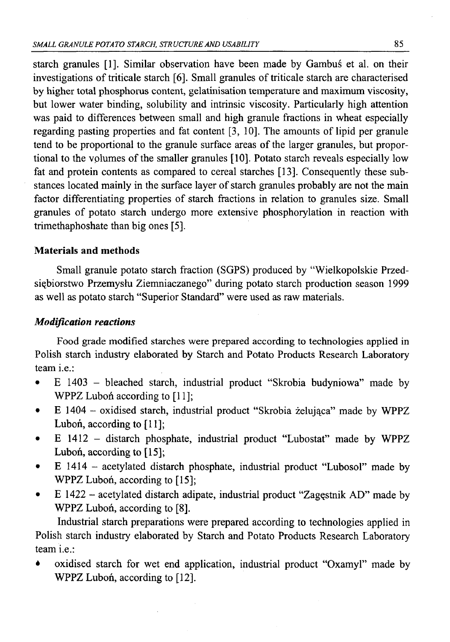starch granules [1]. Similar observation have been made by Gambuś et al. on their investigations of triticale starch [6]. Small granules of triticale starch are characterised by higher total phosphorus content, gelatinisation temperature and maximum viscosity, but lower water binding, solubility and intrinsic viscosity. Particularly high attention was paid to differences between small and high granule fractions in wheat especially regarding pasting properties and fat content [3, 10]. The amounts of lipid per granule tend to be proportional to the granule surface areas of the larger granules, but proportional to the volumes of the smaller granules [10]. Potato starch reveals especially low fat and protein contents as compared to cereal starches [13]. Consequently these substances located mainly in the surface layer of starch granules probably are not the main factor differentiating properties of starch fractions in relation to granules size. Small granules of potato starch undergo more extensive phosphorylation in reaction with trimethaphoshate than big ones [5].

## **Materials and methods**

Small granule potato starch fraction (SGPS) produced by "Wielkopolskie Przedsiębiorstwo Przemysłu Ziemniaczanego" during potato starch production season 1999 as well as potato starch "Superior Standard" were used as raw materials.

## *Modification reactions*

Food grade modified starches were prepared according to technologies applied in Polish starch industry elaborated by Starch and Potato Products Research Laboratory team i.e.:

- E 1403 bleached starch, industrial product "Skrobia budyniowa" made by WPPZ Luboń according to [11];
- E 1404 oxidised starch, industrial product "Skrobia żelująca" made by WPPZ Luboń, according to [11];
- E 1412 distarch phosphate, industrial product "Lubostat" made by WPPZ Luboń, according to [15];
- E 1414 acetylated distarch phosphate, industrial product "Lubosol" made by WPPZ Luboń, according to [15];
- E 1422 acetylated distarch adipate, industrial product "Zagęstnik AD" made by WPPZ Luboń, according to [8].

Industrial starch preparations were prepared according to technologies applied in Polish starch industry elaborated by Starch and Potato Products Research Laboratory team i.e.:

• oxidised starch for wet end application, industrial product "Oxamyl" made by WPPZ Luboń, according to [12].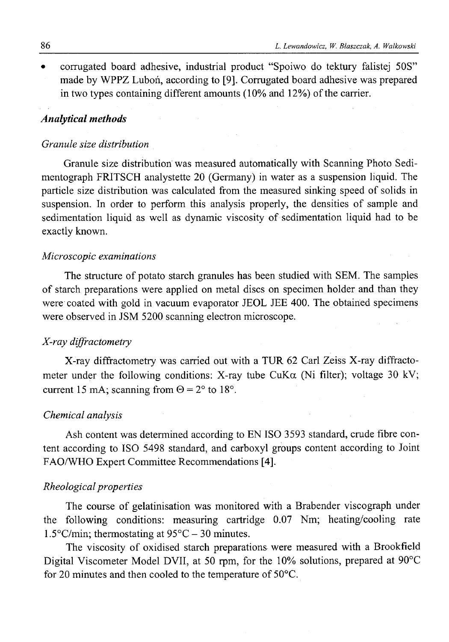*•* corrugated board adhesive, industrial product "Spoiwo do tektury falistej 50S" made by WPPZ Luboń, according to [9]. Corrugated board adhesive was prepared in two types containing different amounts  $(10\%$  and  $12\%)$  of the carrier.

#### *Analytical methods*

#### *Granule size distribution*

Granule size distribution was measured automatically with Scanning Photo Sedimentograph FRITSCH analystette 20 (Germany) in water as a suspension liquid. The particle size distribution was calculated from the measured sinking speed of solids in suspension. In order to perform this analysis properly, the densities of sample and sedimentation liquid as well as dynamic viscosity of sedimentation liquid had to be exactly known.

#### *Microscopic examinations*

The structure of potato starch granules has been studied with SEM. The samples of starch preparations were applied on metal discs on specimen holder and than they were coated with gold in vacuum evaporator JEOL JEE 400. The obtained specimens were observed in JSM 5200 scanning electron microscope.

## *X-ray diffractometry*

X-ray diffractometry was carried out with a TUR 62 Carl Zeiss X-ray diffractometer under the following conditions: X-ray tube CuK $\alpha$  (Ni filter); voltage 30 kV; current 15 mA; scanning from  $\Theta = 2^{\circ}$  to 18°.

#### *Chemical analysis*

Ash content was determined according to EN ISO 3593 standard, crude fibre content according to ISO 5498 standard, and carboxyl groups content according to Joint FAO/WHO Expert Committee Recommendations [4].

#### *Rheological properties*

The course of gelatinisation was monitored with a Brabender viscograph under the following conditions: measuring cartridge 0.07 Nm; heating/cooling rate 1.5 $\rm{°C/min}$ ; thermostating at 95 $\rm{°C}$  – 30 minutes.

The viscosity of oxidised starch preparations were measured with a Brookfield Digital Viscometer Model DVII, at 50 rpm, for the 10% solutions, prepared at 90°C for 20 minutes and then cooled to the temperature of 50°C.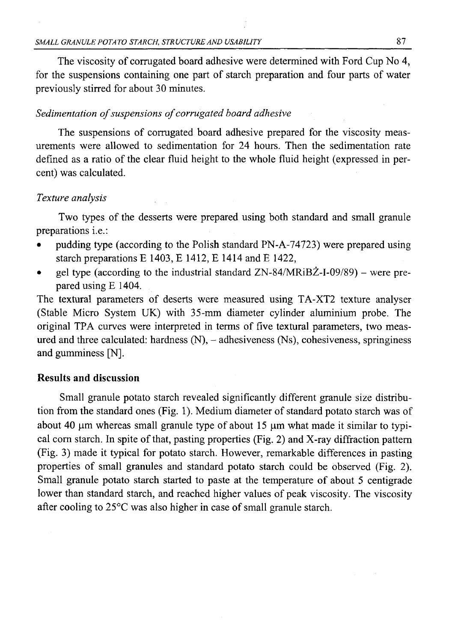The viscosity of corrugated board adhesive were determined with Ford Cup No 4, for the suspensions containing one part of starch preparation and four parts of water previously stirred for about 30 minutes.

### Sedimentation of suspensions of corrugated board adhesive

The suspensions of corrugated board adhesive prepared for the viscosity measurements were allowed to sedimentation for 24 hours. Then the sedimentation rate defined as a ratio of the clear fluid height to the whole fluid height (expressed in percent) was calculated.

## *Texture analysis*

Two types of the desserts were prepared using both standard and small granule preparations i.e.:

- pudding type (according to the Polish standard PN-A-74723) were prepared using starch preparations E 1403, E 1412, E 1414 and E 1422,
- gel type (according to the industrial standard  $ZN-84/MRiB\ddot{Z}-I-09/89$ ) were prepared using E 1404.

The textural parameters of deserts were measured using TA-XT2 texture analyser (Stable Micro System UK) with 35-mm diameter cylinder aluminium probe. The original TPA curves were interpreted in terms of five textural parameters, two measured and three calculated: hardness  $(N)$ ,  $-$  adhesiveness  $(Ns)$ , cohesiveness, springiness and gumminess [N].

## **Results and discussion**

Small granule potato starch revealed significantly different granule size distribution from the standard ones (Fig. 1). Medium diameter of standard potato starch was of about 40  $\mu$ m whereas small granule type of about 15  $\mu$ m what made it similar to typical com starch. In spite of that, pasting properties (Fig. 2) and X-ray diffraction pattern (Fig. 3) made it typical for potato starch. However, remarkable differences in pasting properties of small granules and standard potato starch could be observed (Fig. 2). Small granule potato starch started to paste at the temperature of about 5 centigrade lower than standard starch, and reached higher values of peak viscosity. The viscosity after cooling to 25°C was also higher in case of small granule starch.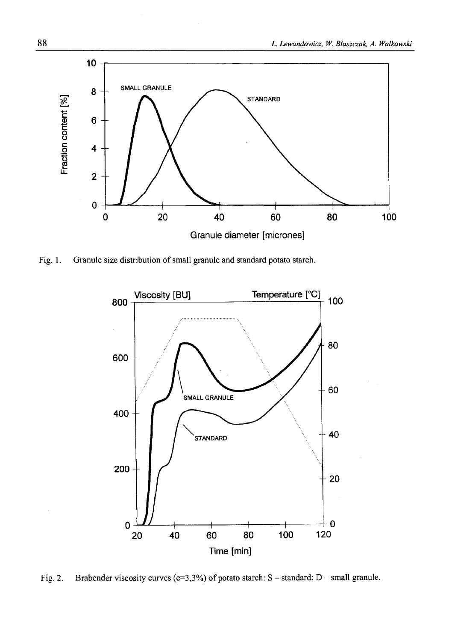

Fig. 1. Granule size distribution of small granule and standard potato starch.



Fig. 2. Brabender viscosity curves (c=3,3%) of potato starch: S - standard; D - small granule.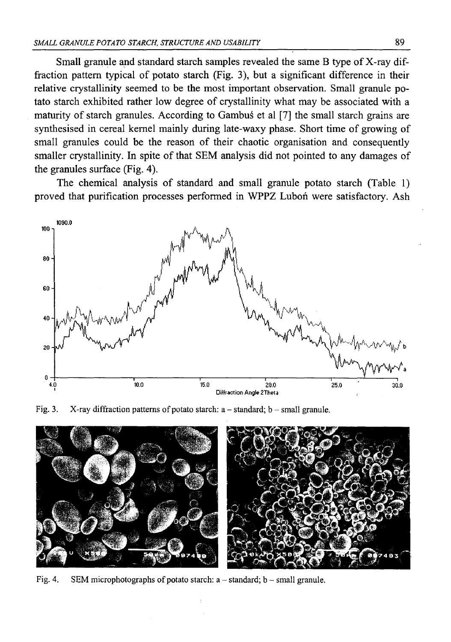Small granule and standard starch samples revealed the same B type of X-ray diffraction pattern typical of potato starch (Fig. 3), but a significant difference in their relative crystallinity seemed to be the most important observation. Small granule potato starch exhibited rather low degree of crystallinity what may be associated with a maturity of starch granules. According to Gambus et al [7] the small starch grains are synthesised in cereal kernel mainly during late-waxy phase. Short time of growing of small granules could be the reason of their chaotic organisation and consequently smaller crystallinity. In spite of that SEM analysis did not pointed to any damages of the granules surface (Fig. 4).

The chemical analysis of standard and small granule potato starch (Table 1) proved that purification processes performed in WPPZ Luboń were satisfactory. Ash



Fig. 3. X-ray diffraction patterns of potato starch:  $a - standard$ ;  $b - small$  granule.



Fig. 4. SEM microphotographs of potato starch:  $a - standard$ ;  $b - small$  granule.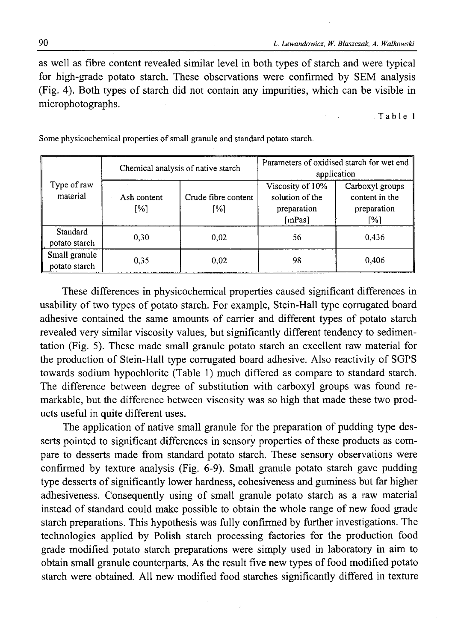as well as fibre content revealed similar level in both types of starch and were typical for high-grade potato starch. These observations were confirmed by SEM analysis (Fig. 4). Both types of starch did not contain any impurities, which can be visible in microphotographs.

Table 1

| Type of raw<br>material        | Chemical analysis of native starch |                            | Parameters of oxidised starch for wet end<br>application     |                                                         |
|--------------------------------|------------------------------------|----------------------------|--------------------------------------------------------------|---------------------------------------------------------|
|                                | Ash content<br>$\lceil\% \rceil$   | Crude fibre content<br>[%] | Viscosity of 10%<br>solution of the<br>preparation<br>[mPas] | Carboxyl groups<br>content in the<br>preparation<br>[%] |
| Standard<br>potato starch      | 0,30                               | 0.02                       | 56                                                           | 0.436                                                   |
| Small granule<br>potato starch | 0.35                               | 0.02                       | 98                                                           | 0.406                                                   |

Some physicochemical properties of small granule and standard potato starch.

These differences in physicochemical properties caused significant differences in usability of two types of potato starch. For example, Stein-Hall type corrugated board adhesive contained the same amounts of carrier and different types of potato starch revealed very similar viscosity values, but significantly different tendency to sedimentation (Fig. 5). These made small granule potato starch an excellent raw material for the production of Stein-Hall type corrugated board adhesive. Also reactivity of SGPS towards sodium hypochlorite (Table 1) much differed as compare to standard starch. The difference between degree of substitution with carboxyl groups was found remarkable, but the difference between viscosity was so high that made these two products useful in quite different uses.

The application of native small granule for the preparation of pudding type desserts pointed to significant differences in sensory properties of these products as compare to desserts made from standard potato starch. These sensory observations were confirmed by texture analysis (Fig. 6-9). Small granule potato starch gave pudding type desserts of significantly lower hardness, cohesiveness and guminess but far higher adhesiveness. Consequently using of small granule potato starch as a raw material instead of standard could make possible to obtain the whole range of new food grade starch preparations. This hypothesis was fully confirmed by further investigations. The technologies applied by Polish starch processing factories for the production food grade modified potato starch preparations were simply used in laboratory in aim to obtain small granule counterparts. As the result five new types of food modified potato starch were obtained. All new modified food starches significantly differed in texture

90 *L. Lewandowicz, W. Błaszczak, A. Walkowski*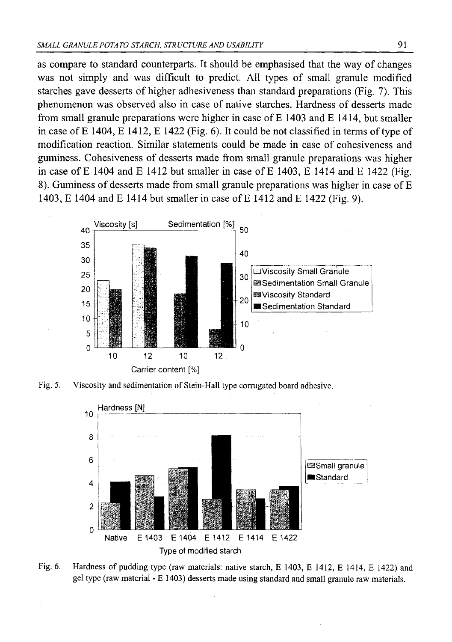as compare to standard counterparts. It should be emphasised that the way of changes was not simply and was difficult to predict. All types of small granule modified starches gave desserts of higher adhesiveness than standard preparations (Fig. 7). This phenomenon was observed also in case of native starches. Hardness of desserts made from small granule preparations were higher in case of E 1403 and E 1414, but smaller in case of  $E$  1404,  $E$  1412,  $E$  1422 (Fig. 6). It could be not classified in terms of type of modification reaction. Similar statements could be made in case of cohesiveness and guminess. Cohesiveness of desserts made from small granule preparations was higher in case of E 1404 and E 1412 but smaller in case of E 1403, E 1414 and E 1422 (Fig. 8). Guminess of desserts made from small granule preparations was higher in case of E 1403, E 1404 and E 1414 but smaller in case of E 1412 and E 1422 (Fig. 9).



Fig. 5. Viscosity and sedimentation of Stein-Hall type corrugated board adhesive.



Fig. 6. Hardness of pudding type (raw materials: native starch, E 1403, E 1412, E 1414, E 1422) and gel type (raw material - E 1403) desserts made using standard and small granule raw materials.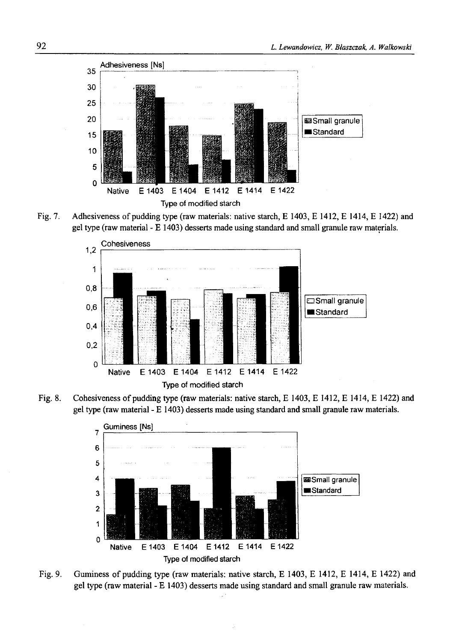

Fig. 7. Adhesiveness of pudding type (raw materials: native starch, E 1403, E 1412, E 1414, E 1422) and gel type (raw material - E 1403) desserts made using standard and small granule raw materials.



Fig. 8. Cohesiveness of pudding type (raw materials: native starch, E 1403, E 1412, E 1414, E 1422) and gel type (raw material - E 1403) desserts made using standard and small granule raw materials.



Fig. 9. Guminess of pudding type (raw materials: native starch, E 1403, E 1412, E 1414, E 1422) and gel type (raw material - E 1403) desserts made using standard and small granule raw materials.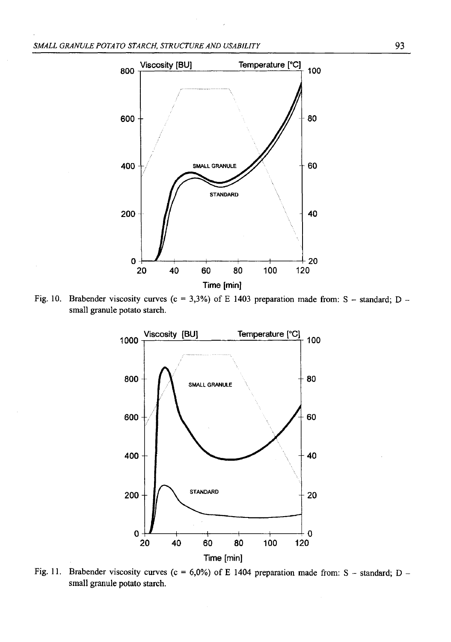

Fig. 10. Brabender viscosity curves ( $c = 3,3%$ ) of E 1403 preparation made from: S - standard; D small granule potato starch.



**Fig. 11. Brabender viscosity curves (c = 6,0%) of E 1404 preparation made from: S - standard; D small granule potato starch.**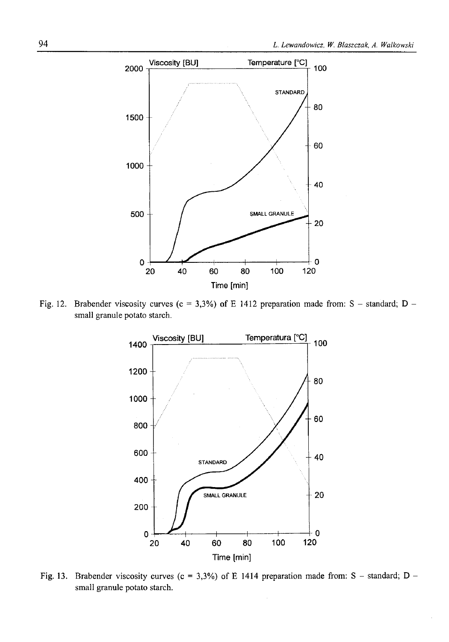

Fig. 12. Brabender viscosity curves (c = 3,3%) of E 1412 preparation made from: S – standard; D – small granule potato starch.



Fig. 13. Brabender viscosity curves (c = 3,3%) of E 1414 preparation made from: S - standard; D **small granule potato starch.**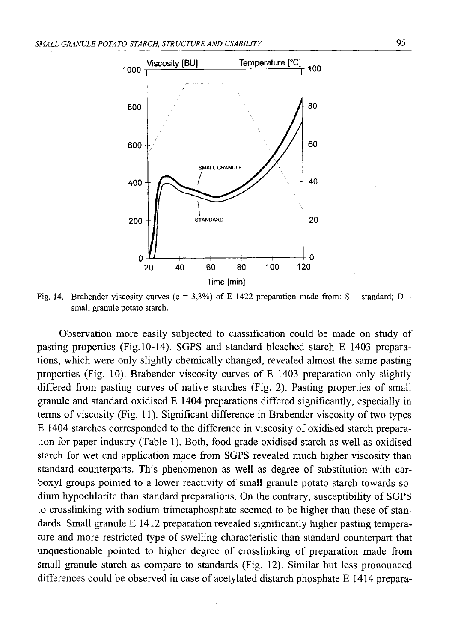

Fig. 14. Brabender viscosity curves ( $c = 3,3\%$ ) of E 1422 preparation made from: S – standard; D – small granule potato starch.

Observation more easily subjected to classification could be made on study of pasting properties (Fig. 10-14). SGPS and standard bleached starch E 1403 preparations, which were only slightly chemically changed, revealed almost the same pasting properties (Fig. 10). Brabender viscosity curves of E 1403 preparation only slightly differed from pasting curves of native starches (Fig. 2). Pasting properties of small granule and standard oxidised E 1404 preparations differed significantly, especially in terms of viscosity (Fig. 11). Significant difference in Brabender viscosity of two types E 1404 starches corresponded to the difference in viscosity of oxidised starch preparation for paper industry (Table 1). Both, food grade oxidised starch as well as oxidised starch for wet end application made from SGPS revealed much higher viscosity than standard counterparts. This phenomenon as well as degree of substitution with carboxyl groups pointed to a lower reactivity of small granule potato starch towards sodium hypochlorite than standard preparations. On the contrary, susceptibility of SGPS to crosslinking with sodium trimetaphosphate seemed to be higher than these of standards. Small granule E 1412 preparation revealed significantly higher pasting temperature and more restricted type of swelling characteristic than standard counterpart that unquestionable pointed to higher degree of crosslinking of preparation made from small granule starch as compare to standards (Fig. 12). Similar but less pronounced differences could be observed in case of acetylated distarch phosphate E 1414 prepara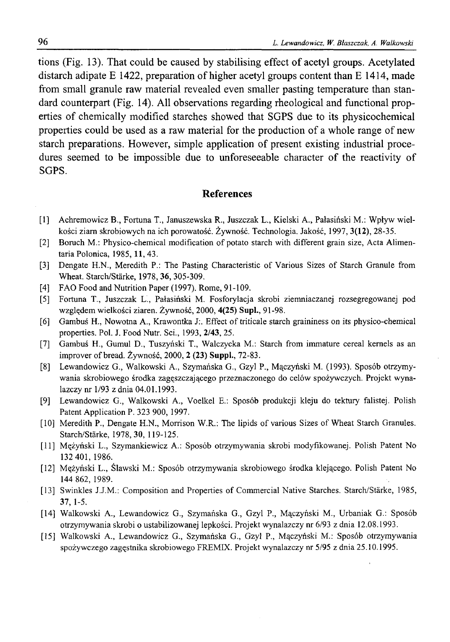tions (Fig. 13). That could be caused by stabilising effect of acetyl groups. Acetylated distarch adipate E 1422, preparation of higher acetyl groups content than E 1414, made from small granule raw material revealed even smaller pasting temperature than standard counterpart (Fig. 14). All observations regarding rheological and functional properties of chemically modified starches showed that SGPS due to its physicochemical properties could be used as a raw material for the production of a whole range of new starch preparations. However, simple application of present existing industrial procedures seemed to be impossible due to unforeseeable character of the reactivity of SGPS.

## **References**

- [1] Achremowicz B., Fortuna T., Januszewska R., Juszczak L., Kielski A., Pałasiński M.: Wpływ wielkości ziara skrobiowych na ich porowatość. Żywność. Technologia. Jakość, 1997, **3(12),** 28-35.
- [2] Boruch M.: Physico-chemical modification of potato starch with different grain size, Acta Alimentaria Polonica, 1985,11, 43.
- [3] Dengate H.N., Meredith P.: The Pasting Characteristic of Various Sizes of Starch Granule from Wheat. Starch/Starke, 1978, **36,** 305-309.
- [4] FAO Food and Nutrition Paper (1997). Rome, 91-109.
- [5] Fortuna T., Juszczak L., Pałasiński M. Fosforylacja skrobi ziemniaczanej rozsegregowanej pod względem wielkości ziaren. Żywność, 2000, **4(25)** Supl., 91-98.
- [6] Gambuś H., Nowotna A., Krawontka J:. Effect of triticale starch graininess on its physico-chemical properties. Pol. J. Food Nutr. Sci., 1993, 2/43, 25.
- [7] Gambuś H., Gumul D., Tuszyński T., Walczycka M.: Starch from immature cereal kernels as an improver of bread. Żywność, 2000, **2 (23)** Suppl., 72-83.
- [8] Lewandowicz G., Walkowski A., Szymańska G., Gzyl P., Mączyński M. (1993). Sposób otrzymywania skrobiowego środka zagęszczającego przeznaczonego do celów spożywczych. Projekt wynalazczy nr 1/93 z dnia 04.01.1993.
- [9] Lewandowicz G., Walkowski A., Voelkel E.: Sposób produkcji kleju do tektury falistej. Polish Patent Application P. 323 900, 1997.
- [10] Meredith P., Dengate H.N., Morrison W.R.: The lipids of various Sizes of Wheat Starch Granules. Starch/Starke, 1978, **30,** 119-125.
- [11] Mężyński L., Szymankiewicz A.: Sposób otrzymywania skrobi modyfikowanej. Polish Patent No 132 401, 1986.
- [12] Mężyński L., Ślawski M.: Sposób otrzymywania skrobiowego środka klejącego. Polish Patent No 144 862, 1989.
- [13] Swinkles J.J.M.: Composition and Properties of Commercial Native Starches. Starch/Starke, 1985, **37,** 1-5.
- [14] Walkowski A., Lewandowicz G., Szymańska G., Gzyl P., Mączyński M., Urbaniak G.: Sposób otrzymywania skrobi o ustabilizowanej lepkości. Projekt wynalazczy nr 6/93 z dnia 12.08.1993.
- [15] Walkowski A., Lewandowicz G., Szymańska G., Gzyl P., Mączyński M.: Sposób otrzymywania spożywczego zagęstnika skrobiowego FREMIX. Projekt wynalazczy nr 5/95 z dnia 25.10.1995.